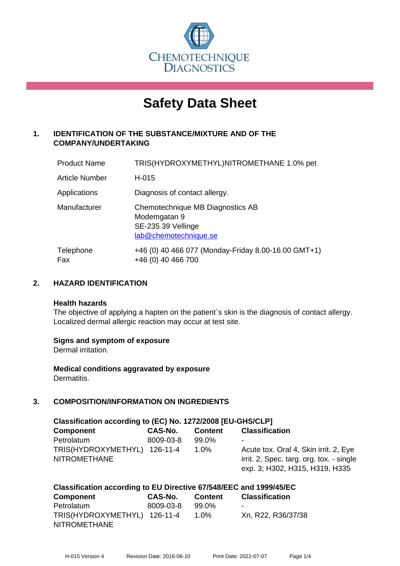

# **Safety Data Sheet**

# **1. IDENTIFICATION OF THE SUBSTANCE/MIXTURE AND OF THE COMPANY/UNDERTAKING**

| <b>Product Name</b>   | TRIS(HYDROXYMETHYL)NITROMETHANE 1.0% pet                                                        |
|-----------------------|-------------------------------------------------------------------------------------------------|
| <b>Article Number</b> | H-015                                                                                           |
| Applications          | Diagnosis of contact allergy.                                                                   |
| Manufacturer          | Chemotechnique MB Diagnostics AB<br>Modemgatan 9<br>SE-235 39 Vellinge<br>lab@chemotechnique.se |
| Telephone<br>Fax      | +46 (0) 40 466 077 (Monday-Friday 8.00-16.00 GMT+1)<br>+46 (0) 40 466 700                       |

## **2. HAZARD IDENTIFICATION**

#### **Health hazards**

The objective of applying a hapten on the patient's skin is the diagnosis of contact allergy. Localized dermal allergic reaction may occur at test site.

#### **Signs and symptom of exposure**

Dermal irritation.

**Medical conditions aggravated by exposure** Dermatitis.

# **3. COMPOSITION/INFORMATION ON INGREDIENTS**

| Classification according to (EC) No. 1272/2008 [EU-GHS/CLP] |           |                |                                          |  |  |  |
|-------------------------------------------------------------|-----------|----------------|------------------------------------------|--|--|--|
| <b>Component</b>                                            | CAS-No.   | <b>Content</b> | <b>Classification</b>                    |  |  |  |
| Petrolatum                                                  | 8009-03-8 | $99.0\%$       | $\blacksquare$                           |  |  |  |
| TRIS(HYDROXYMETHYL) 126-11-4                                |           | $1.0\%$        | Acute tox. Oral 4, Skin irrit. 2, Eye    |  |  |  |
| <b>NITROMETHANE</b>                                         |           |                | irrit. 2, Spec. targ. org. tox. - single |  |  |  |
|                                                             |           |                | exp. 3; H302, H315, H319, H335           |  |  |  |

| Classification according to EU Directive 67/548/EEC and 1999/45/EC |           |                |                       |  |
|--------------------------------------------------------------------|-----------|----------------|-----------------------|--|
| <b>Component</b>                                                   | CAS-No.   | <b>Content</b> | <b>Classification</b> |  |
| Petrolatum                                                         | 8009-03-8 | 99.0%          |                       |  |
| TRIS(HYDROXYMETHYL) 126-11-4                                       |           | $1.0\%$        | Xn, R22, R36/37/38    |  |
| <b>NITROMETHANE</b>                                                |           |                |                       |  |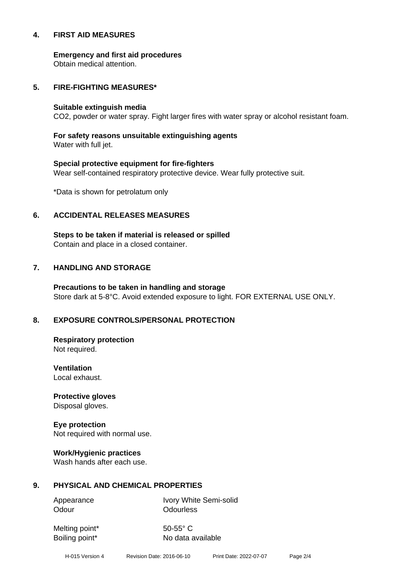#### **4. FIRST AID MEASURES**

**Emergency and first aid procedures**

Obtain medical attention.

#### **5. FIRE-FIGHTING MEASURES\***

#### **Suitable extinguish media**

CO2, powder or water spray. Fight larger fires with water spray or alcohol resistant foam.

# **For safety reasons unsuitable extinguishing agents**

Water with full jet.

# **Special protective equipment for fire-fighters** Wear self-contained respiratory protective device. Wear fully protective suit.

\*Data is shown for petrolatum only

## **6. ACCIDENTAL RELEASES MEASURES**

**Steps to be taken if material is released or spilled** Contain and place in a closed container.

# **7. HANDLING AND STORAGE**

**Precautions to be taken in handling and storage** Store dark at 5-8°C. Avoid extended exposure to light. FOR EXTERNAL USE ONLY.

# **8. EXPOSURE CONTROLS/PERSONAL PROTECTION**

**Respiratory protection** Not required.

**Ventilation** Local exhaust.

**Protective gloves** Disposal gloves.

# **Eye protection**

Not required with normal use.

#### **Work/Hygienic practices**

Wash hands after each use.

#### **9. PHYSICAL AND CHEMICAL PROPERTIES**

Odour **Odourless** 

Appearance Ivory White Semi-solid

Melting point\* 50-55° C

Boiling point\* No data available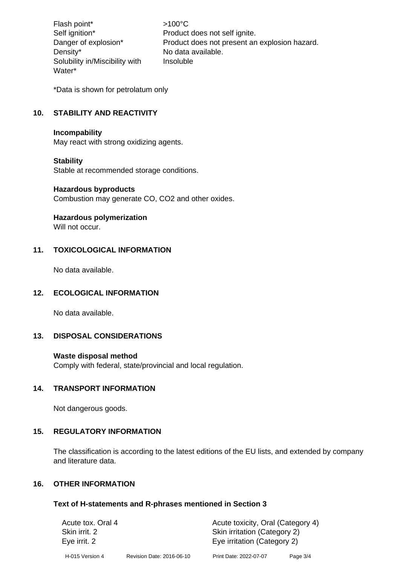Flash point\*  $>100^{\circ}$ C Density\* No data available. Solubility in/Miscibility with Water\*

Self ignition\* Product does not self ignite. Danger of explosion\* Product does not present an explosion hazard. Insoluble

\*Data is shown for petrolatum only

# **10. STABILITY AND REACTIVITY**

#### **Incompability**

May react with strong oxidizing agents.

#### **Stability**

Stable at recommended storage conditions.

#### **Hazardous byproducts**

Combustion may generate CO, CO2 and other oxides.

#### **Hazardous polymerization**

Will not occur.

# **11. TOXICOLOGICAL INFORMATION**

No data available.

#### **12. ECOLOGICAL INFORMATION**

No data available.

#### **13. DISPOSAL CONSIDERATIONS**

#### **Waste disposal method**

Comply with federal, state/provincial and local regulation.

#### **14. TRANSPORT INFORMATION**

Not dangerous goods.

#### **15. REGULATORY INFORMATION**

The classification is according to the latest editions of the EU lists, and extended by company and literature data.

# **16. OTHER INFORMATION**

#### **Text of H-statements and R-phrases mentioned in Section 3**

| Acute tox. Oral 4 |                           | Acute toxicity, Oral (Category 4) |          |  |
|-------------------|---------------------------|-----------------------------------|----------|--|
| Skin irrit. 2     |                           | Skin irritation (Category 2)      |          |  |
| Eye irrit. 2      |                           | Eye irritation (Category 2)       |          |  |
| H-015 Version 4   | Revision Date: 2016-06-10 | Print Date: 2022-07-07            | Page 3/4 |  |